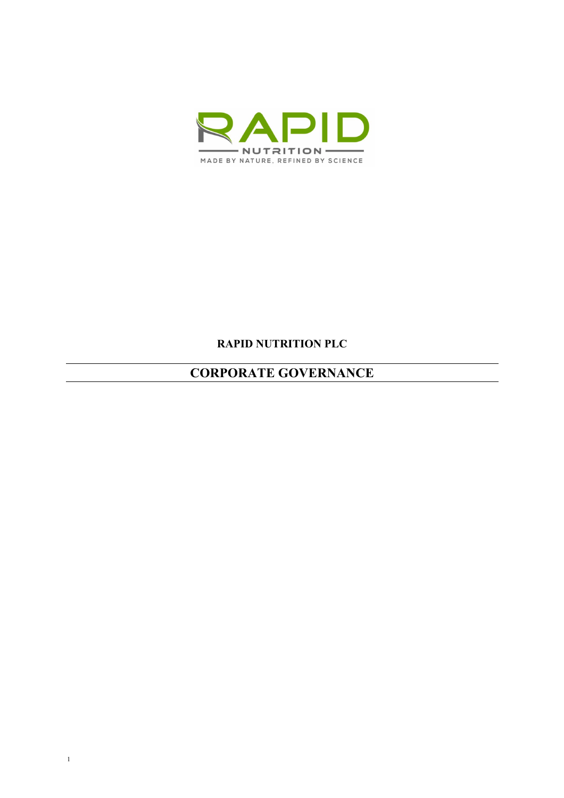

# **RAPID NUTRITION PLC**

# **CORPORATE GOVERNANCE**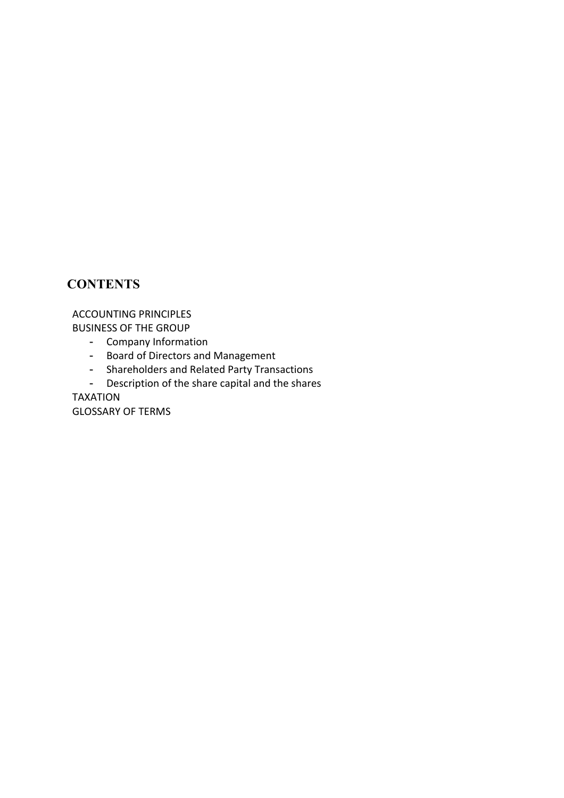# **CONTENTS**

ACCOUNTING PRINCIPLES BUSINESS OF THE GROUP

- Company Information
- Board of Directors and Management
- Shareholders and Related Party Transactions
- Description of the share capital and the shares

TAXATION

GLOSSARY OF TERMS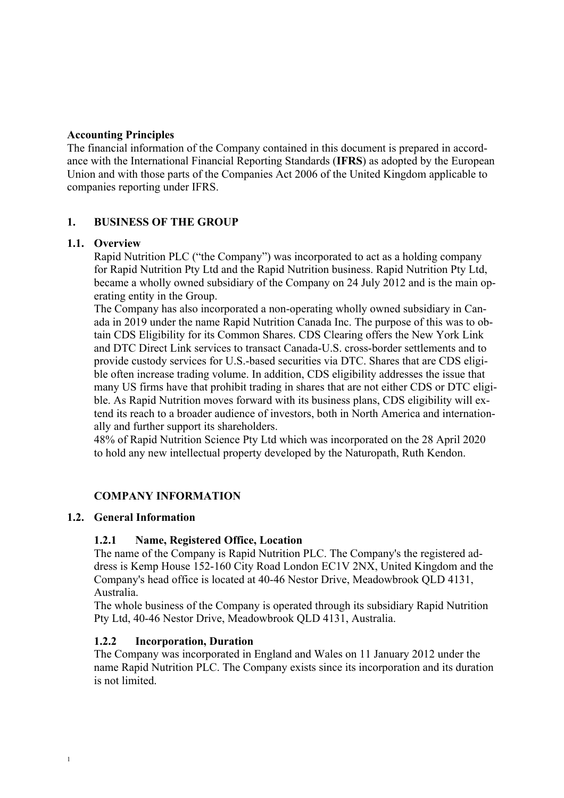## **Accounting Principles**

The financial information of the Company contained in this document is prepared in accordance with the International Financial Reporting Standards (**IFRS**) as adopted by the European Union and with those parts of the Companies Act 2006 of the United Kingdom applicable to companies reporting under IFRS.

## **1. BUSINESS OF THE GROUP**

#### **1.1. Overview**

Rapid Nutrition PLC ("the Company") was incorporated to act as a holding company for Rapid Nutrition Pty Ltd and the Rapid Nutrition business. Rapid Nutrition Pty Ltd, became a wholly owned subsidiary of the Company on 24 July 2012 and is the main operating entity in the Group.

The Company has also incorporated a non-operating wholly owned subsidiary in Canada in 2019 under the name Rapid Nutrition Canada Inc. The purpose of this was to obtain CDS Eligibility for its Common Shares. CDS Clearing offers the New York Link and DTC Direct Link services to transact Canada-U.S. cross-border settlements and to provide custody services for U.S.-based securities via DTC. Shares that are CDS eligible often increase trading volume. In addition, CDS eligibility addresses the issue that many US firms have that prohibit trading in shares that are not either CDS or DTC eligible. As Rapid Nutrition moves forward with its business plans, CDS eligibility will extend its reach to a broader audience of investors, both in North America and internationally and further support its shareholders.

48% of Rapid Nutrition Science Pty Ltd which was incorporated on the 28 April 2020 to hold any new intellectual property developed by the Naturopath, Ruth Kendon.

## **COMPANY INFORMATION**

## **1.2. General Information**

1

#### **1.2.1 Name, Registered Office, Location**

The name of the Company is Rapid Nutrition PLC. The Company's the registered address is Kemp House 152-160 City Road London EC1V 2NX, United Kingdom and the Company's head office is located at 40-46 Nestor Drive, Meadowbrook QLD 4131, Australia.

The whole business of the Company is operated through its subsidiary Rapid Nutrition Pty Ltd, 40-46 Nestor Drive, Meadowbrook QLD 4131, Australia.

#### **1.2.2 Incorporation, Duration**

The Company was incorporated in England and Wales on 11 January 2012 under the name Rapid Nutrition PLC. The Company exists since its incorporation and its duration is not limited.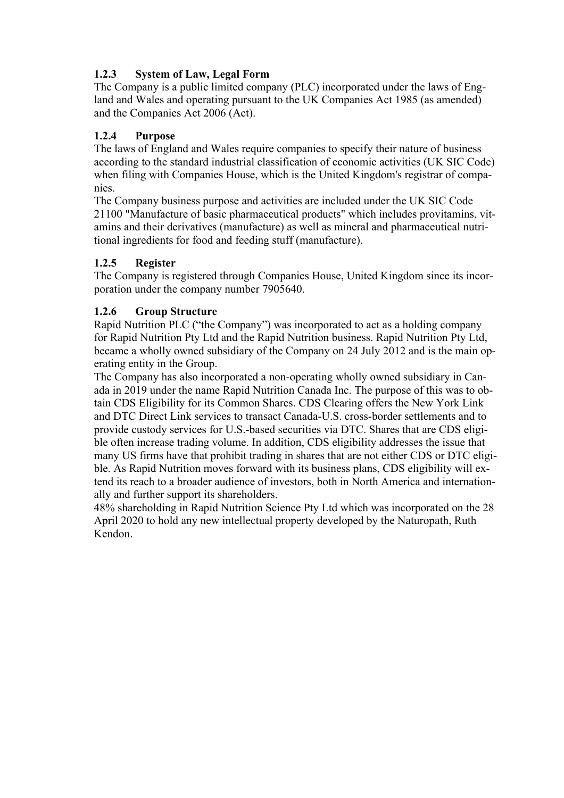# **1.2.3 System of Law, Legal Form**

The Company is a public limited company (PLC) incorporated under the laws of England and Wales and operating pursuant to the UK Companies Act 1985 (as amended) and the Companies Act 2006 (Act).

# **1.2.4 Purpose**

The laws of England and Wales require companies to specify their nature of business according to the standard industrial classification of economic activities (UK SIC Code) when filing with Companies House, which is the United Kingdom's registrar of companies.

The Company business purpose and activities are included under the UK SIC Code 21100 "Manufacture of basic pharmaceutical products" which includes provitamins, vitamins and their derivatives (manufacture) as well as mineral and pharmaceutical nutritional ingredients for food and feeding stuff (manufacture).

# **1.2.5 Register**

The Company is registered through Companies House, United Kingdom since its incorporation under the company number 7905640.

# **1.2.6 Group Structure**

Rapid Nutrition PLC ("the Company") was incorporated to act as a holding company for Rapid Nutrition Pty Ltd and the Rapid Nutrition business. Rapid Nutrition Pty Ltd, became a wholly owned subsidiary of the Company on 24 July 2012 and is the main operating entity in the Group.

The Company has also incorporated a non-operating wholly owned subsidiary in Canada in 2019 under the name Rapid Nutrition Canada Inc. The purpose of this was to obtain CDS Eligibility for its Common Shares. CDS Clearing offers the New York Link and DTC Direct Link services to transact Canada-U.S. cross-border settlements and to provide custody services for U.S.-based securities via DTC. Shares that are CDS eligible often increase trading volume. In addition, CDS eligibility addresses the issue that many US firms have that prohibit trading in shares that are not either CDS or DTC eligible. As Rapid Nutrition moves forward with its business plans, CDS eligibility will extend its reach to a broader audience of investors, both in North America and internationally and further support its shareholders.

48% shareholding in Rapid Nutrition Science Pty Ltd which was incorporated on the 28 April 2020 to hold any new intellectual property developed by the Naturopath, Ruth Kendon.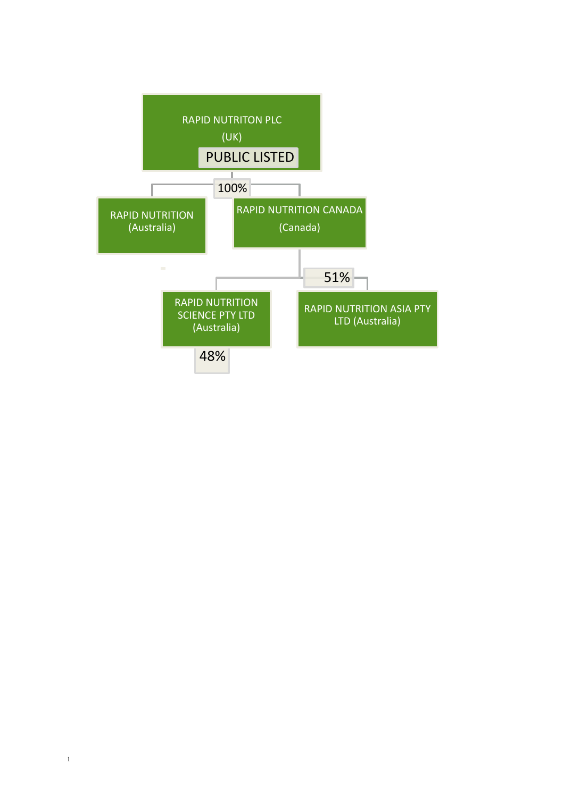

1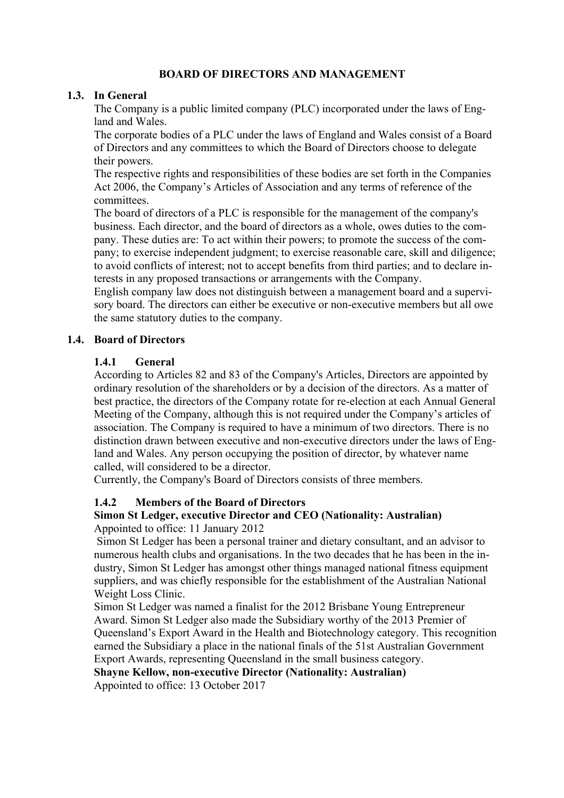## **BOARD OF DIRECTORS AND MANAGEMENT**

#### **1.3. In General**

The Company is a public limited company (PLC) incorporated under the laws of England and Wales.

The corporate bodies of a PLC under the laws of England and Wales consist of a Board of Directors and any committees to which the Board of Directors choose to delegate their powers.

The respective rights and responsibilities of these bodies are set forth in the Companies Act 2006, the Company's Articles of Association and any terms of reference of the committees.

The board of directors of a PLC is responsible for the management of the company's business. Each director, and the board of directors as a whole, owes duties to the company. These duties are: To act within their powers; to promote the success of the company; to exercise independent judgment; to exercise reasonable care, skill and diligence; to avoid conflicts of interest; not to accept benefits from third parties; and to declare interests in any proposed transactions or arrangements with the Company.

English company law does not distinguish between a management board and a supervisory board. The directors can either be executive or non-executive members but all owe the same statutory duties to the company.

## **1.4. Board of Directors**

#### **1.4.1 General**

According to Articles 82 and 83 of the Company's Articles, Directors are appointed by ordinary resolution of the shareholders or by a decision of the directors. As a matter of best practice, the directors of the Company rotate for re-election at each Annual General Meeting of the Company, although this is not required under the Company's articles of association. The Company is required to have a minimum of two directors. There is no distinction drawn between executive and non-executive directors under the laws of England and Wales. Any person occupying the position of director, by whatever name called, will considered to be a director.

Currently, the Company's Board of Directors consists of three members.

#### **1.4.2 Members of the Board of Directors**

#### **Simon St Ledger, executive Director and CEO (Nationality: Australian)** Appointed to office: 11 January 2012

Simon St Ledger has been a personal trainer and dietary consultant, and an advisor to numerous health clubs and organisations. In the two decades that he has been in the industry, Simon St Ledger has amongst other things managed national fitness equipment suppliers, and was chiefly responsible for the establishment of the Australian National Weight Loss Clinic.

Simon St Ledger was named a finalist for the 2012 Brisbane Young Entrepreneur Award. Simon St Ledger also made the Subsidiary worthy of the 2013 Premier of Queensland's Export Award in the Health and Biotechnology category. This recognition earned the Subsidiary a place in the national finals of the 51st Australian Government Export Awards, representing Queensland in the small business category.

**Shayne Kellow, non-executive Director (Nationality: Australian)**

Appointed to office: 13 October 2017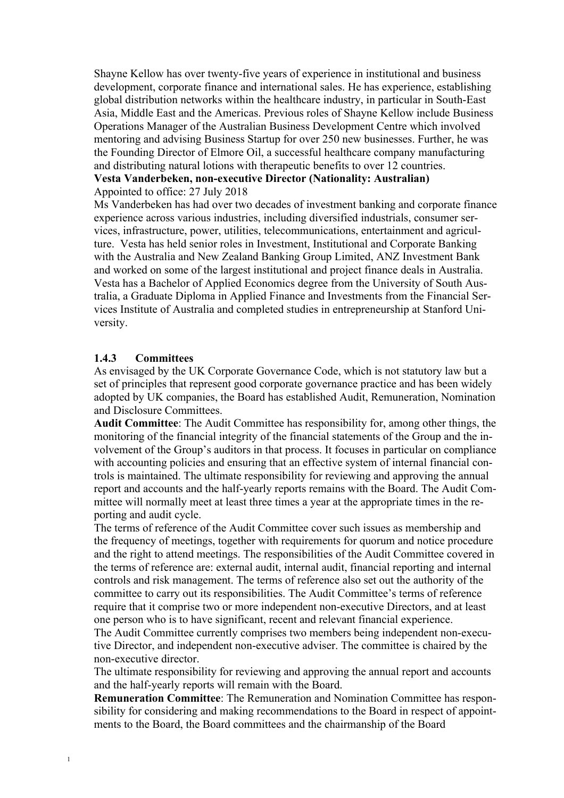Shayne Kellow has over twenty-five years of experience in institutional and business development, corporate finance and international sales. He has experience, establishing global distribution networks within the healthcare industry, in particular in South-East Asia, Middle East and the Americas. Previous roles of Shayne Kellow include Business Operations Manager of the Australian Business Development Centre which involved mentoring and advising Business Startup for over 250 new businesses. Further, he was the Founding Director of Elmore Oil, a successful healthcare company manufacturing and distributing natural lotions with therapeutic benefits to over 12 countries. **Vesta Vanderbeken, non-executive Director (Nationality: Australian)**

Appointed to office: 27 July 2018

Ms Vanderbeken has had over two decades of investment banking and corporate finance experience across various industries, including diversified industrials, consumer services, infrastructure, power, utilities, telecommunications, entertainment and agriculture. Vesta has held senior roles in Investment, Institutional and Corporate Banking with the Australia and New Zealand Banking Group Limited, ANZ Investment Bank and worked on some of the largest institutional and project finance deals in Australia. Vesta has a Bachelor of Applied Economics degree from the University of South Australia, a Graduate Diploma in Applied Finance and Investments from the Financial Services Institute of Australia and completed studies in entrepreneurship at Stanford University.

## **1.4.3 Committees**

As envisaged by the UK Corporate Governance Code, which is not statutory law but a set of principles that represent good corporate governance practice and has been widely adopted by UK companies, the Board has established Audit, Remuneration, Nomination and Disclosure Committees.

**Audit Committee**: The Audit Committee has responsibility for, among other things, the monitoring of the financial integrity of the financial statements of the Group and the involvement of the Group's auditors in that process. It focuses in particular on compliance with accounting policies and ensuring that an effective system of internal financial controls is maintained. The ultimate responsibility for reviewing and approving the annual report and accounts and the half-yearly reports remains with the Board. The Audit Committee will normally meet at least three times a year at the appropriate times in the reporting and audit cycle.

The terms of reference of the Audit Committee cover such issues as membership and the frequency of meetings, together with requirements for quorum and notice procedure and the right to attend meetings. The responsibilities of the Audit Committee covered in the terms of reference are: external audit, internal audit, financial reporting and internal controls and risk management. The terms of reference also set out the authority of the committee to carry out its responsibilities. The Audit Committee's terms of reference require that it comprise two or more independent non-executive Directors, and at least one person who is to have significant, recent and relevant financial experience.

The Audit Committee currently comprises two members being independent non-executive Director, and independent non-executive adviser. The committee is chaired by the non-executive director.

The ultimate responsibility for reviewing and approving the annual report and accounts and the half-yearly reports will remain with the Board.

**Remuneration Committee**: The Remuneration and Nomination Committee has responsibility for considering and making recommendations to the Board in respect of appointments to the Board, the Board committees and the chairmanship of the Board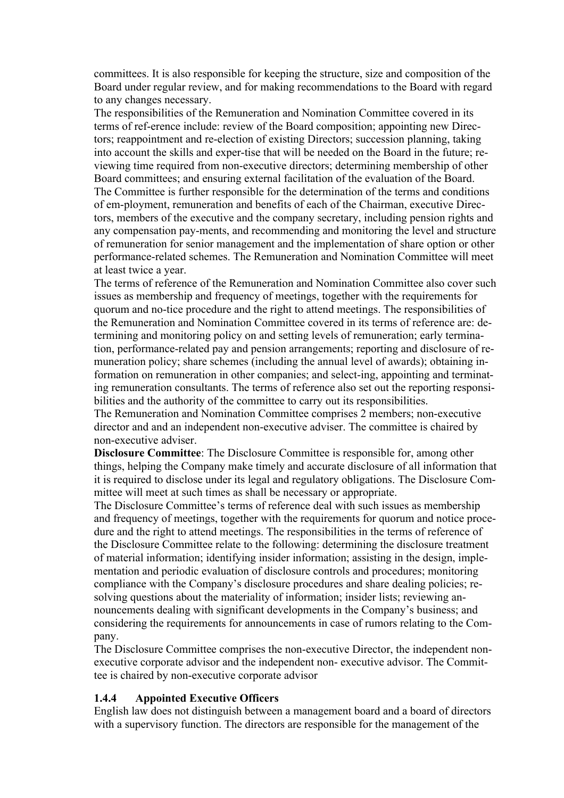committees. It is also responsible for keeping the structure, size and composition of the Board under regular review, and for making recommendations to the Board with regard to any changes necessary.

The responsibilities of the Remuneration and Nomination Committee covered in its terms of ref-erence include: review of the Board composition; appointing new Directors; reappointment and re-election of existing Directors; succession planning, taking into account the skills and exper-tise that will be needed on the Board in the future; reviewing time required from non-executive directors; determining membership of other Board committees; and ensuring external facilitation of the evaluation of the Board. The Committee is further responsible for the determination of the terms and conditions of em-ployment, remuneration and benefits of each of the Chairman, executive Directors, members of the executive and the company secretary, including pension rights and any compensation pay-ments, and recommending and monitoring the level and structure of remuneration for senior management and the implementation of share option or other performance-related schemes. The Remuneration and Nomination Committee will meet at least twice a year.

The terms of reference of the Remuneration and Nomination Committee also cover such issues as membership and frequency of meetings, together with the requirements for quorum and no-tice procedure and the right to attend meetings. The responsibilities of the Remuneration and Nomination Committee covered in its terms of reference are: determining and monitoring policy on and setting levels of remuneration; early termination, performance-related pay and pension arrangements; reporting and disclosure of remuneration policy; share schemes (including the annual level of awards); obtaining information on remuneration in other companies; and select-ing, appointing and terminating remuneration consultants. The terms of reference also set out the reporting responsibilities and the authority of the committee to carry out its responsibilities.

The Remuneration and Nomination Committee comprises 2 members; non-executive director and and an independent non-executive adviser. The committee is chaired by non-executive adviser.

**Disclosure Committee**: The Disclosure Committee is responsible for, among other things, helping the Company make timely and accurate disclosure of all information that it is required to disclose under its legal and regulatory obligations. The Disclosure Committee will meet at such times as shall be necessary or appropriate.

The Disclosure Committee's terms of reference deal with such issues as membership and frequency of meetings, together with the requirements for quorum and notice procedure and the right to attend meetings. The responsibilities in the terms of reference of the Disclosure Committee relate to the following: determining the disclosure treatment of material information; identifying insider information; assisting in the design, implementation and periodic evaluation of disclosure controls and procedures; monitoring compliance with the Company's disclosure procedures and share dealing policies; resolving questions about the materiality of information; insider lists; reviewing announcements dealing with significant developments in the Company's business; and considering the requirements for announcements in case of rumors relating to the Company.

The Disclosure Committee comprises the non-executive Director, the independent nonexecutive corporate advisor and the independent non- executive advisor. The Committee is chaired by non-executive corporate advisor

# **1.4.4 Appointed Executive Officers**

English law does not distinguish between a management board and a board of directors with a supervisory function. The directors are responsible for the management of the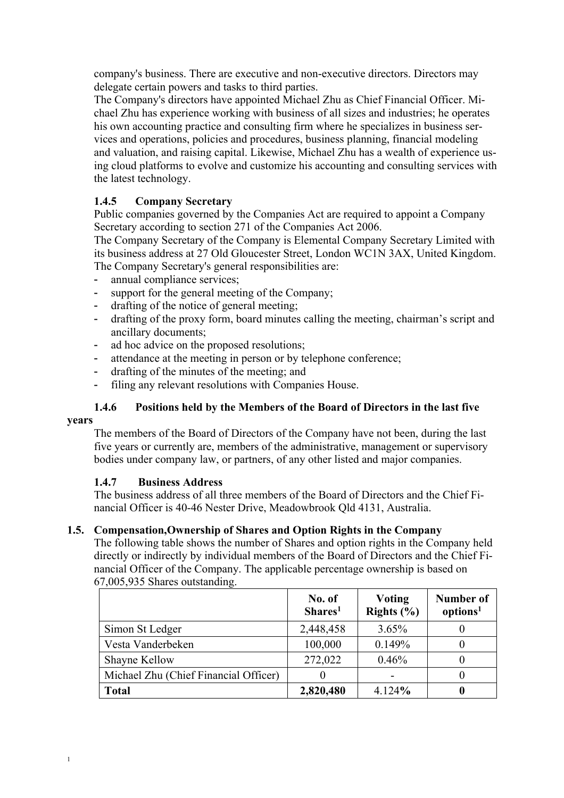company's business. There are executive and non-executive directors. Directors may delegate certain powers and tasks to third parties.

The Company's directors have appointed Michael Zhu as Chief Financial Officer. Michael Zhu has experience working with business of all sizes and industries; he operates his own accounting practice and consulting firm where he specializes in business services and operations, policies and procedures, business planning, financial modeling and valuation, and raising capital. Likewise, Michael Zhu has a wealth of experience using cloud platforms to evolve and customize his accounting and consulting services with the latest technology.

# **1.4.5 Company Secretary**

Public companies governed by the Companies Act are required to appoint a Company Secretary according to section 271 of the Companies Act 2006.

The Company Secretary of the Company is Elemental Company Secretary Limited with its business address at 27 Old Gloucester Street, London WC1N 3AX, United Kingdom. The Company Secretary's general responsibilities are:

- annual compliance services;
- support for the general meeting of the Company;
- drafting of the notice of general meeting;
- drafting of the proxy form, board minutes calling the meeting, chairman's script and ancillary documents;
- ad hoc advice on the proposed resolutions;
- attendance at the meeting in person or by telephone conference;
- drafting of the minutes of the meeting; and
- filing any relevant resolutions with Companies House.

# **1.4.6 Positions held by the Members of the Board of Directors in the last five**

#### **years**

The members of the Board of Directors of the Company have not been, during the last five years or currently are, members of the administrative, management or supervisory bodies under company law, or partners, of any other listed and major companies.

#### **1.4.7 Business Address**

The business address of all three members of the Board of Directors and the Chief Financial Officer is 40-46 Nester Drive, Meadowbrook Qld 4131, Australia.

#### **1.5. Compensation,Ownership of Shares and Option Rights in the Company**

The following table shows the number of Shares and option rights in the Company held directly or indirectly by individual members of the Board of Directors and the Chief Financial Officer of the Company. The applicable percentage ownership is based on 67,005,935 Shares outstanding.

|                                       | No. of<br>Shares <sup>1</sup> | <b>Voting</b><br>Rights $(\% )$ | Number of<br>options <sup>1</sup> |
|---------------------------------------|-------------------------------|---------------------------------|-----------------------------------|
| Simon St Ledger                       | 2,448,458                     | 3.65%                           |                                   |
| Vesta Vanderbeken                     | 100,000                       | 0.149%                          |                                   |
| Shayne Kellow                         | 272,022                       | 0.46%                           |                                   |
| Michael Zhu (Chief Financial Officer) |                               |                                 | $\theta$                          |
| <b>Total</b>                          | 2,820,480                     | 4.124%                          | 0                                 |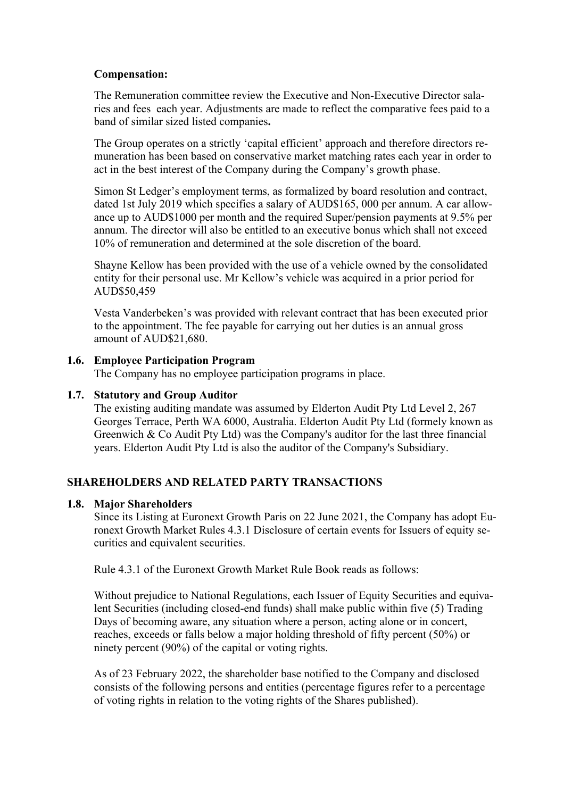## **Compensation:**

The Remuneration committee review the Executive and Non-Executive Director salaries and fees each year. Adjustments are made to reflect the comparative fees paid to a band of similar sized listed companies**.** 

The Group operates on a strictly 'capital efficient' approach and therefore directors remuneration has been based on conservative market matching rates each year in order to act in the best interest of the Company during the Company's growth phase.

Simon St Ledger's employment terms, as formalized by board resolution and contract, dated 1st July 2019 which specifies a salary of AUD\$165, 000 per annum. A car allowance up to AUD\$1000 per month and the required Super/pension payments at 9.5% per annum. The director will also be entitled to an executive bonus which shall not exceed 10% of remuneration and determined at the sole discretion of the board.

Shayne Kellow has been provided with the use of a vehicle owned by the consolidated entity for their personal use. Mr Kellow's vehicle was acquired in a prior period for AUD\$50,459

Vesta Vanderbeken's was provided with relevant contract that has been executed prior to the appointment. The fee payable for carrying out her duties is an annual gross amount of AUD\$21,680.

## **1.6. Employee Participation Program**

The Company has no employee participation programs in place.

## **1.7. Statutory and Group Auditor**

The existing auditing mandate was assumed by Elderton Audit Pty Ltd Level 2, 267 Georges Terrace, Perth WA 6000, Australia. Elderton Audit Pty Ltd (formely known as Greenwich & Co Audit Pty Ltd) was the Company's auditor for the last three financial years. Elderton Audit Pty Ltd is also the auditor of the Company's Subsidiary.

## **SHAREHOLDERS AND RELATED PARTY TRANSACTIONS**

#### **1.8. Major Shareholders**

Since its Listing at Euronext Growth Paris on 22 June 2021, the Company has adopt Euronext Growth Market Rules 4.3.1 Disclosure of certain events for Issuers of equity securities and equivalent securities.

Rule 4.3.1 of the Euronext Growth Market Rule Book reads as follows:

Without prejudice to National Regulations, each Issuer of Equity Securities and equivalent Securities (including closed-end funds) shall make public within five (5) Trading Days of becoming aware, any situation where a person, acting alone or in concert, reaches, exceeds or falls below a major holding threshold of fifty percent (50%) or ninety percent (90%) of the capital or voting rights.

As of 23 February 2022, the shareholder base notified to the Company and disclosed consists of the following persons and entities (percentage figures refer to a percentage of voting rights in relation to the voting rights of the Shares published).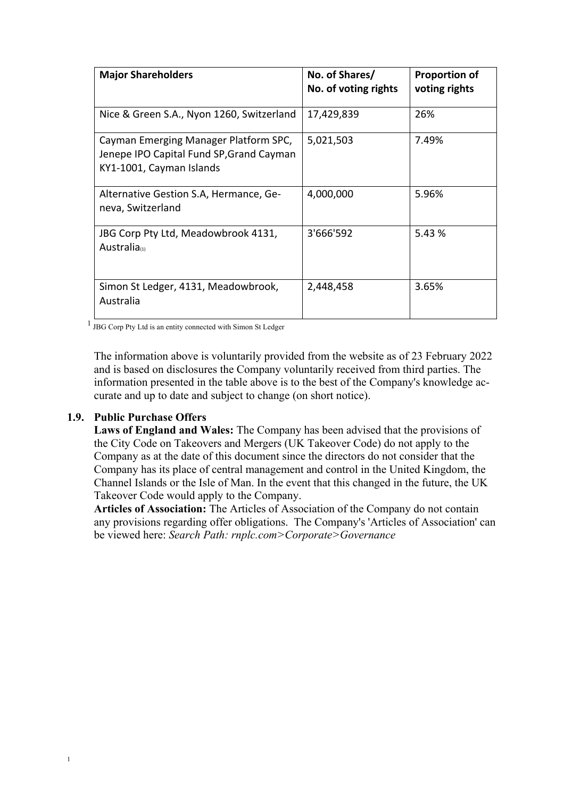| <b>Major Shareholders</b>                                                                                     | No. of Shares/<br>No. of voting rights | <b>Proportion of</b><br>voting rights |
|---------------------------------------------------------------------------------------------------------------|----------------------------------------|---------------------------------------|
| Nice & Green S.A., Nyon 1260, Switzerland                                                                     | 17,429,839                             | 26%                                   |
| Cayman Emerging Manager Platform SPC,<br>Jenepe IPO Capital Fund SP, Grand Cayman<br>KY1-1001, Cayman Islands | 5,021,503                              | 7.49%                                 |
| Alternative Gestion S.A, Hermance, Ge-<br>neva, Switzerland                                                   | 4,000,000                              | 5.96%                                 |
| JBG Corp Pty Ltd, Meadowbrook 4131,<br>Australia(1)                                                           | 3'666'592                              | 5.43%                                 |
| Simon St Ledger, 4131, Meadowbrook,<br>Australia                                                              | 2,448,458                              | 3.65%                                 |

<sup>1</sup> JBG Corp Pty Ltd is an entity connected with Simon St Ledger

The information above is voluntarily provided from the website as of 23 February 2022 and is based on disclosures the Company voluntarily received from third parties. The information presented in the table above is to the best of the Company's knowledge accurate and up to date and subject to change (on short notice).

#### **1.9. Public Purchase Offers**

**Laws of England and Wales:** The Company has been advised that the provisions of the City Code on Takeovers and Mergers (UK Takeover Code) do not apply to the Company as at the date of this document since the directors do not consider that the Company has its place of central management and control in the United Kingdom, the Channel Islands or the Isle of Man. In the event that this changed in the future, the UK Takeover Code would apply to the Company.

**Articles of Association:** The Articles of Association of the Company do not contain any provisions regarding offer obligations. The Company's 'Articles of Association' can be viewed here: *Search Path: rnplc.com>Corporate>Governance*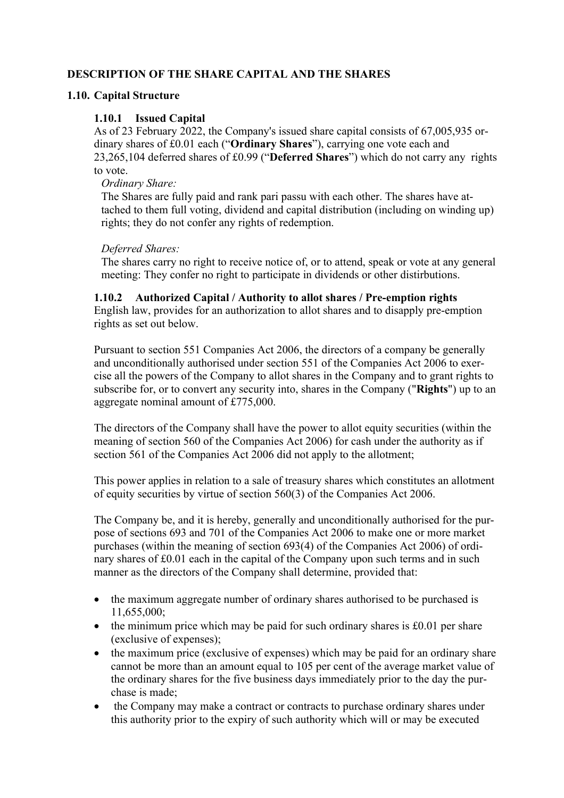# **DESCRIPTION OF THE SHARE CAPITAL AND THE SHARES**

## **1.10. Capital Structure**

## **1.10.1 Issued Capital**

As of 23 February 2022, the Company's issued share capital consists of 67,005,935 ordinary shares of £0.01 each ("**Ordinary Shares**"), carrying one vote each and 23,265,104 deferred shares of £0.99 ("**Deferred Shares**") which do not carry any rights to vote.

#### *Ordinary Share:*

The Shares are fully paid and rank pari passu with each other. The shares have attached to them full voting, dividend and capital distribution (including on winding up) rights; they do not confer any rights of redemption.

## *Deferred Shares:*

The shares carry no right to receive notice of, or to attend, speak or vote at any general meeting: They confer no right to participate in dividends or other distirbutions.

## **1.10.2 Authorized Capital / Authority to allot shares / Pre-emption rights**

English law, provides for an authorization to allot shares and to disapply pre-emption rights as set out below.

Pursuant to section 551 Companies Act 2006, the directors of a company be generally and unconditionally authorised under section 551 of the Companies Act 2006 to exercise all the powers of the Company to allot shares in the Company and to grant rights to subscribe for, or to convert any security into, shares in the Company ("**Rights**") up to an aggregate nominal amount of £775,000.

The directors of the Company shall have the power to allot equity securities (within the meaning of section 560 of the Companies Act 2006) for cash under the authority as if section 561 of the Companies Act 2006 did not apply to the allotment;

This power applies in relation to a sale of treasury shares which constitutes an allotment of equity securities by virtue of section 560(3) of the Companies Act 2006.

The Company be, and it is hereby, generally and unconditionally authorised for the purpose of sections 693 and 701 of the Companies Act 2006 to make one or more market purchases (within the meaning of section 693(4) of the Companies Act 2006) of ordinary shares of £0.01 each in the capital of the Company upon such terms and in such manner as the directors of the Company shall determine, provided that:

- the maximum aggregate number of ordinary shares authorised to be purchased is 11,655,000;
- the minimum price which may be paid for such ordinary shares is  $\text{\pounds}0.01$  per share (exclusive of expenses);
- the maximum price (exclusive of expenses) which may be paid for an ordinary share cannot be more than an amount equal to 105 per cent of the average market value of the ordinary shares for the five business days immediately prior to the day the purchase is made;
- the Company may make a contract or contracts to purchase ordinary shares under this authority prior to the expiry of such authority which will or may be executed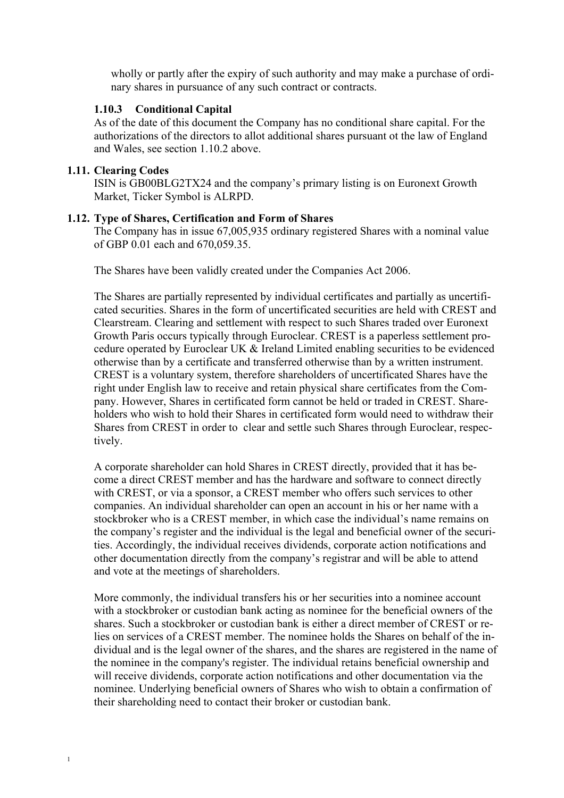wholly or partly after the expiry of such authority and may make a purchase of ordinary shares in pursuance of any such contract or contracts.

## **1.10.3 Conditional Capital**

As of the date of this document the Company has no conditional share capital. For the authorizations of the directors to allot additional shares pursuant ot the law of England and Wales, see section 1.10.2 above.

## **1.11. Clearing Codes**

ISIN is GB00BLG2TX24 and the company's primary listing is on Euronext Growth Market, Ticker Symbol is ALRPD.

## **1.12. Type of Shares, Certification and Form of Shares**

The Company has in issue 67,005,935 ordinary registered Shares with a nominal value of GBP 0.01 each and 670,059.35.

The Shares have been validly created under the Companies Act 2006.

The Shares are partially represented by individual certificates and partially as uncertificated securities. Shares in the form of uncertificated securities are held with CREST and Clearstream. Clearing and settlement with respect to such Shares traded over Euronext Growth Paris occurs typically through Euroclear. CREST is a paperless settlement procedure operated by Euroclear UK & Ireland Limited enabling securities to be evidenced otherwise than by a certificate and transferred otherwise than by a written instrument. CREST is a voluntary system, therefore shareholders of uncertificated Shares have the right under English law to receive and retain physical share certificates from the Company. However, Shares in certificated form cannot be held or traded in CREST. Shareholders who wish to hold their Shares in certificated form would need to withdraw their Shares from CREST in order to clear and settle such Shares through Euroclear, respectively.

A corporate shareholder can hold Shares in CREST directly, provided that it has become a direct CREST member and has the hardware and software to connect directly with CREST, or via a sponsor, a CREST member who offers such services to other companies. An individual shareholder can open an account in his or her name with a stockbroker who is a CREST member, in which case the individual's name remains on the company's register and the individual is the legal and beneficial owner of the securities. Accordingly, the individual receives dividends, corporate action notifications and other documentation directly from the company's registrar and will be able to attend and vote at the meetings of shareholders.

More commonly, the individual transfers his or her securities into a nominee account with a stockbroker or custodian bank acting as nominee for the beneficial owners of the shares. Such a stockbroker or custodian bank is either a direct member of CREST or relies on services of a CREST member. The nominee holds the Shares on behalf of the individual and is the legal owner of the shares, and the shares are registered in the name of the nominee in the company's register. The individual retains beneficial ownership and will receive dividends, corporate action notifications and other documentation via the nominee. Underlying beneficial owners of Shares who wish to obtain a confirmation of their shareholding need to contact their broker or custodian bank.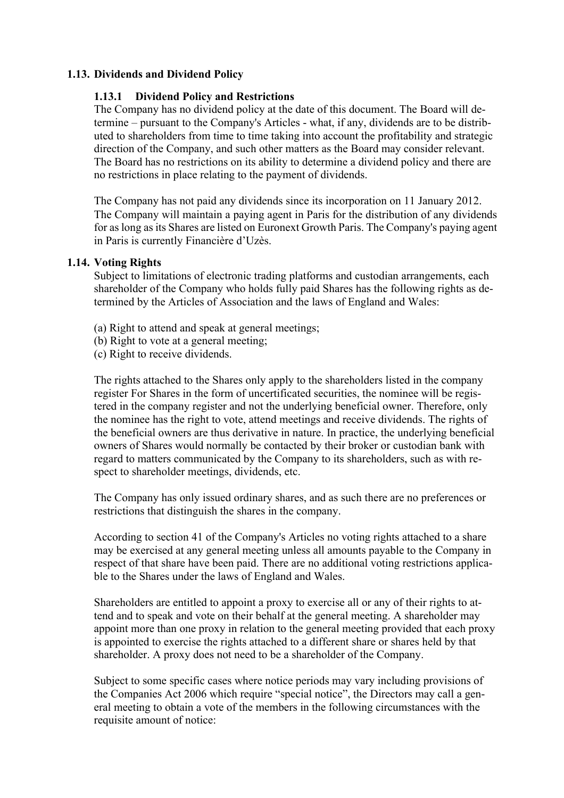## **1.13. Dividends and Dividend Policy**

#### **1.13.1 Dividend Policy and Restrictions**

The Company has no dividend policy at the date of this document. The Board will determine – pursuant to the Company's Articles - what, if any, dividends are to be distributed to shareholders from time to time taking into account the profitability and strategic direction of the Company, and such other matters as the Board may consider relevant. The Board has no restrictions on its ability to determine a dividend policy and there are no restrictions in place relating to the payment of dividends.

The Company has not paid any dividends since its incorporation on 11 January 2012. The Company will maintain a paying agent in Paris for the distribution of any dividends for as long as its Shares are listed on Euronext Growth Paris. The Company's paying agent in Paris is currently Financière d'Uzès.

#### **1.14. Voting Rights**

Subject to limitations of electronic trading platforms and custodian arrangements, each shareholder of the Company who holds fully paid Shares has the following rights as determined by the Articles of Association and the laws of England and Wales:

- (a) Right to attend and speak at general meetings;
- (b) Right to vote at a general meeting;
- (c) Right to receive dividends.

The rights attached to the Shares only apply to the shareholders listed in the company register For Shares in the form of uncertificated securities, the nominee will be registered in the company register and not the underlying beneficial owner. Therefore, only the nominee has the right to vote, attend meetings and receive dividends. The rights of the beneficial owners are thus derivative in nature. In practice, the underlying beneficial owners of Shares would normally be contacted by their broker or custodian bank with regard to matters communicated by the Company to its shareholders, such as with respect to shareholder meetings, dividends, etc.

The Company has only issued ordinary shares, and as such there are no preferences or restrictions that distinguish the shares in the company.

According to section 41 of the Company's Articles no voting rights attached to a share may be exercised at any general meeting unless all amounts payable to the Company in respect of that share have been paid. There are no additional voting restrictions applicable to the Shares under the laws of England and Wales.

Shareholders are entitled to appoint a proxy to exercise all or any of their rights to attend and to speak and vote on their behalf at the general meeting. A shareholder may appoint more than one proxy in relation to the general meeting provided that each proxy is appointed to exercise the rights attached to a different share or shares held by that shareholder. A proxy does not need to be a shareholder of the Company.

Subject to some specific cases where notice periods may vary including provisions of the Companies Act 2006 which require "special notice", the Directors may call a general meeting to obtain a vote of the members in the following circumstances with the requisite amount of notice: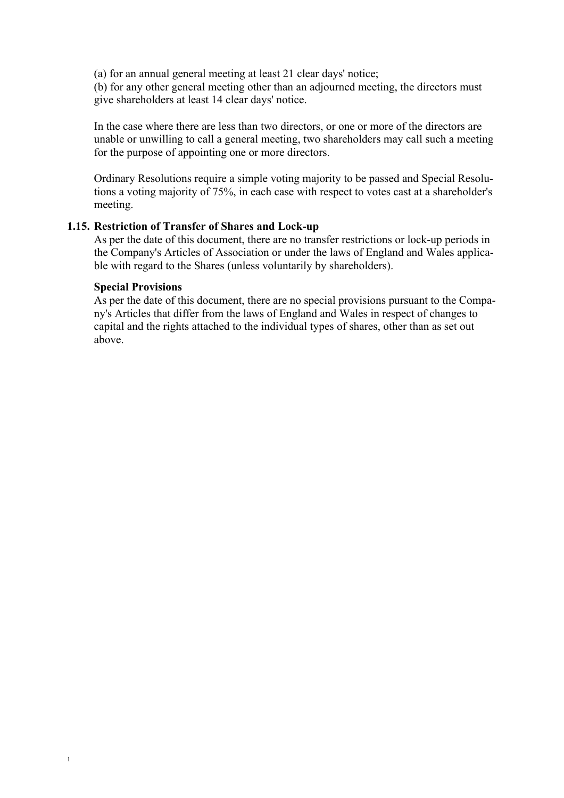(a) for an annual general meeting at least 21 clear days' notice;

(b) for any other general meeting other than an adjourned meeting, the directors must give shareholders at least 14 clear days' notice.

In the case where there are less than two directors, or one or more of the directors are unable or unwilling to call a general meeting, two shareholders may call such a meeting for the purpose of appointing one or more directors.

Ordinary Resolutions require a simple voting majority to be passed and Special Resolutions a voting majority of 75%, in each case with respect to votes cast at a shareholder's meeting.

#### **1.15. Restriction of Transfer of Shares and Lock-up**

As per the date of this document, there are no transfer restrictions or lock-up periods in the Company's Articles of Association or under the laws of England and Wales applicable with regard to the Shares (unless voluntarily by shareholders).

#### **Special Provisions**

As per the date of this document, there are no special provisions pursuant to the Company's Articles that differ from the laws of England and Wales in respect of changes to capital and the rights attached to the individual types of shares, other than as set out above.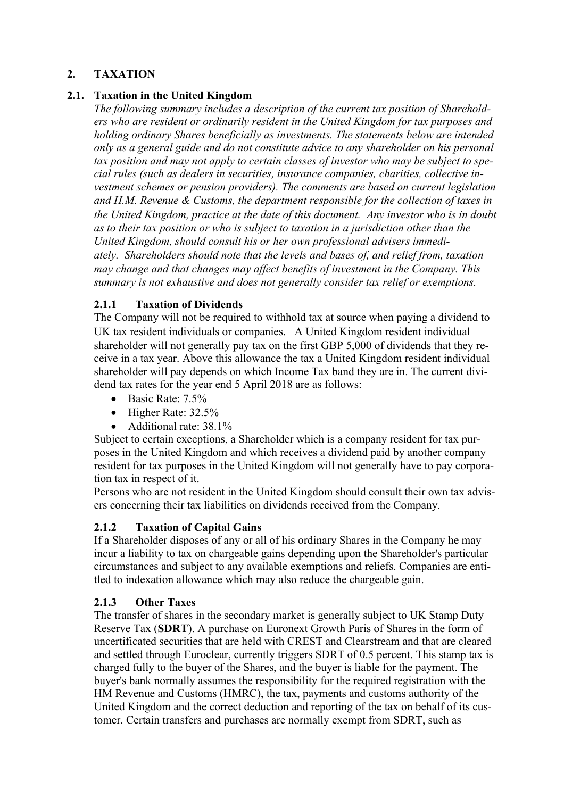# **2. TAXATION**

# **2.1. Taxation in the United Kingdom**

*The following summary includes a description of the current tax position of Shareholders who are resident or ordinarily resident in the United Kingdom for tax purposes and holding ordinary Shares beneficially as investments. The statements below are intended only as a general guide and do not constitute advice to any shareholder on his personal tax position and may not apply to certain classes of investor who may be subject to special rules (such as dealers in securities, insurance companies, charities, collective investment schemes or pension providers). The comments are based on current legislation and H.M. Revenue & Customs, the department responsible for the collection of taxes in the United Kingdom, practice at the date of this document. Any investor who is in doubt as to their tax position or who is subject to taxation in a jurisdiction other than the United Kingdom, should consult his or her own professional advisers immediately. Shareholders should note that the levels and bases of, and relief from, taxation may change and that changes may affect benefits of investment in the Company. This summary is not exhaustive and does not generally consider tax relief or exemptions.*

# **2.1.1 Taxation of Dividends**

The Company will not be required to withhold tax at source when paying a dividend to UK tax resident individuals or companies. A United Kingdom resident individual shareholder will not generally pay tax on the first GBP 5,000 of dividends that they receive in a tax year. Above this allowance the tax a United Kingdom resident individual shareholder will pay depends on which Income Tax band they are in. The current dividend tax rates for the year end 5 April 2018 are as follows:

- Basic Rate: 7.5%
- Higher Rate: 32.5%
- Additional rate: 38.1%

Subject to certain exceptions, a Shareholder which is a company resident for tax purposes in the United Kingdom and which receives a dividend paid by another company resident for tax purposes in the United Kingdom will not generally have to pay corporation tax in respect of it.

Persons who are not resident in the United Kingdom should consult their own tax advisers concerning their tax liabilities on dividends received from the Company.

# **2.1.2 Taxation of Capital Gains**

If a Shareholder disposes of any or all of his ordinary Shares in the Company he may incur a liability to tax on chargeable gains depending upon the Shareholder's particular circumstances and subject to any available exemptions and reliefs. Companies are entitled to indexation allowance which may also reduce the chargeable gain.

## **2.1.3 Other Taxes**

The transfer of shares in the secondary market is generally subject to UK Stamp Duty Reserve Tax (**SDRT**). A purchase on Euronext Growth Paris of Shares in the form of uncertificated securities that are held with CREST and Clearstream and that are cleared and settled through Euroclear, currently triggers SDRT of 0.5 percent. This stamp tax is charged fully to the buyer of the Shares, and the buyer is liable for the payment. The buyer's bank normally assumes the responsibility for the required registration with the HM Revenue and Customs (HMRC), the tax, payments and customs authority of the United Kingdom and the correct deduction and reporting of the tax on behalf of its customer. Certain transfers and purchases are normally exempt from SDRT, such as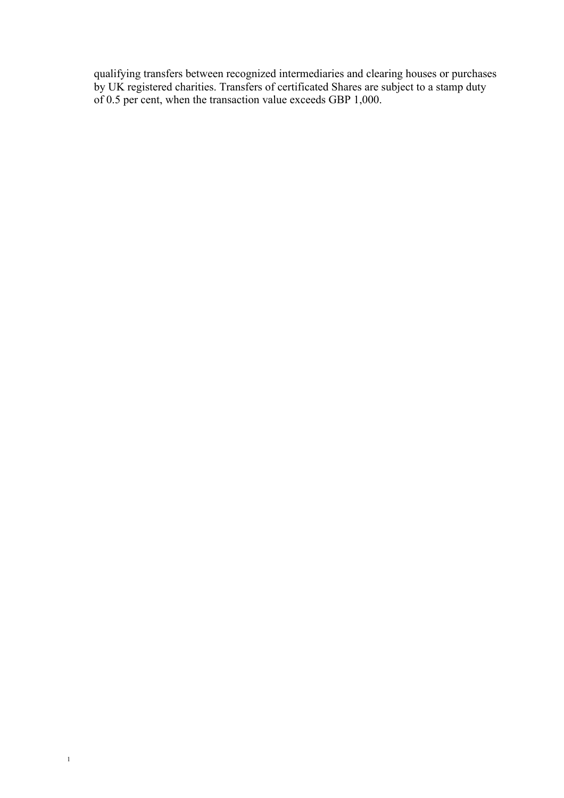qualifying transfers between recognized intermediaries and clearing houses or purchases by UK registered charities. Transfers of certificated Shares are subject to a stamp duty of 0.5 per cent, when the transaction value exceeds GBP 1,000.

1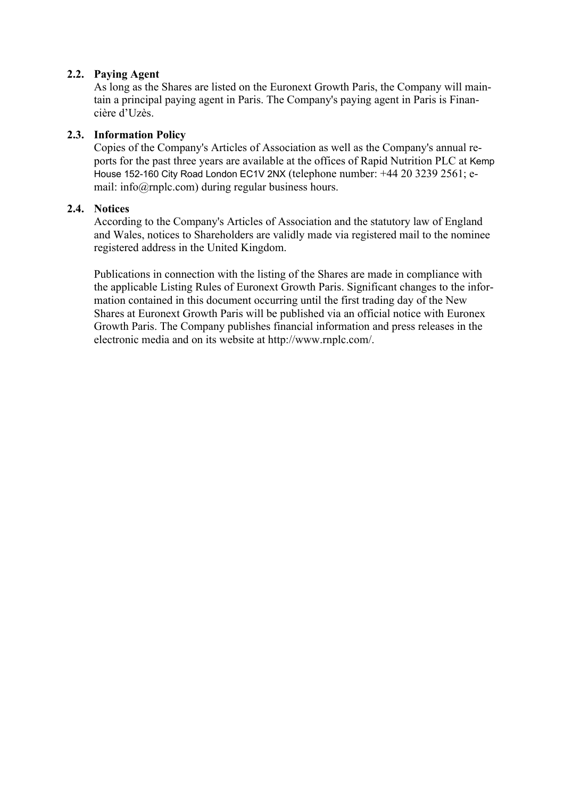## **2.2. Paying Agent**

As long as the Shares are listed on the Euronext Growth Paris, the Company will maintain a principal paying agent in Paris. The Company's paying agent in Paris is Financière d'Uzès.

## **2.3. Information Policy**

Copies of the Company's Articles of Association as well as the Company's annual reports for the past three years are available at the offices of Rapid Nutrition PLC at Kemp House 152-160 City Road London EC1V 2NX (telephone number: +44 20 3239 2561; email: info@rnplc.com) during regular business hours.

## **2.4. Notices**

According to the Company's Articles of Association and the statutory law of England and Wales, notices to Shareholders are validly made via registered mail to the nominee registered address in the United Kingdom.

Publications in connection with the listing of the Shares are made in compliance with the applicable Listing Rules of Euronext Growth Paris. Significant changes to the information contained in this document occurring until the first trading day of the New Shares at Euronext Growth Paris will be published via an official notice with Euronex Growth Paris. The Company publishes financial information and press releases in the electronic media and on its website at http://www.rnplc.com/.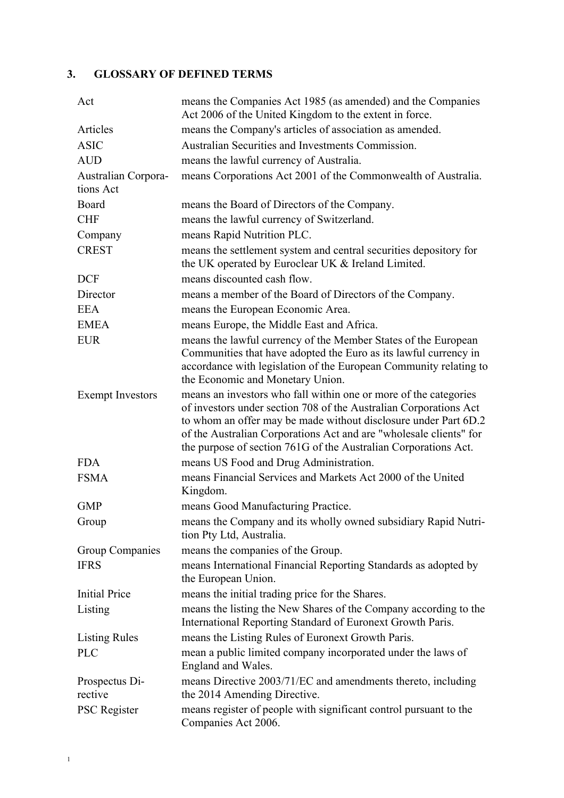# **3. GLOSSARY OF DEFINED TERMS**

| Act                              | means the Companies Act 1985 (as amended) and the Companies<br>Act 2006 of the United Kingdom to the extent in force.                                                                                                                                                                                                                             |
|----------------------------------|---------------------------------------------------------------------------------------------------------------------------------------------------------------------------------------------------------------------------------------------------------------------------------------------------------------------------------------------------|
| Articles                         | means the Company's articles of association as amended.                                                                                                                                                                                                                                                                                           |
| <b>ASIC</b>                      | Australian Securities and Investments Commission.                                                                                                                                                                                                                                                                                                 |
| <b>AUD</b>                       | means the lawful currency of Australia.                                                                                                                                                                                                                                                                                                           |
| Australian Corpora-<br>tions Act | means Corporations Act 2001 of the Commonwealth of Australia.                                                                                                                                                                                                                                                                                     |
| Board                            | means the Board of Directors of the Company.                                                                                                                                                                                                                                                                                                      |
| <b>CHF</b>                       | means the lawful currency of Switzerland.                                                                                                                                                                                                                                                                                                         |
| Company                          | means Rapid Nutrition PLC.                                                                                                                                                                                                                                                                                                                        |
| <b>CREST</b>                     | means the settlement system and central securities depository for<br>the UK operated by Euroclear UK & Ireland Limited.                                                                                                                                                                                                                           |
| <b>DCF</b>                       | means discounted cash flow.                                                                                                                                                                                                                                                                                                                       |
| Director                         | means a member of the Board of Directors of the Company.                                                                                                                                                                                                                                                                                          |
| <b>EEA</b>                       | means the European Economic Area.                                                                                                                                                                                                                                                                                                                 |
| <b>EMEA</b>                      | means Europe, the Middle East and Africa.                                                                                                                                                                                                                                                                                                         |
| <b>EUR</b>                       | means the lawful currency of the Member States of the European<br>Communities that have adopted the Euro as its lawful currency in<br>accordance with legislation of the European Community relating to<br>the Economic and Monetary Union.                                                                                                       |
| <b>Exempt Investors</b>          | means an investors who fall within one or more of the categories<br>of investors under section 708 of the Australian Corporations Act<br>to whom an offer may be made without disclosure under Part 6D.2<br>of the Australian Corporations Act and are "wholesale clients" for<br>the purpose of section 761G of the Australian Corporations Act. |
| <b>FDA</b>                       | means US Food and Drug Administration.                                                                                                                                                                                                                                                                                                            |
| <b>FSMA</b>                      | means Financial Services and Markets Act 2000 of the United<br>Kingdom.                                                                                                                                                                                                                                                                           |
| <b>GMP</b>                       | means Good Manufacturing Practice.                                                                                                                                                                                                                                                                                                                |
| Group                            | means the Company and its wholly owned subsidiary Rapid Nutri-<br>tion Pty Ltd, Australia.                                                                                                                                                                                                                                                        |
| Group Companies                  | means the companies of the Group.                                                                                                                                                                                                                                                                                                                 |
| <b>IFRS</b>                      | means International Financial Reporting Standards as adopted by<br>the European Union.                                                                                                                                                                                                                                                            |
| <b>Initial Price</b>             | means the initial trading price for the Shares.                                                                                                                                                                                                                                                                                                   |
| Listing                          | means the listing the New Shares of the Company according to the<br>International Reporting Standard of Euronext Growth Paris.                                                                                                                                                                                                                    |
| <b>Listing Rules</b>             | means the Listing Rules of Euronext Growth Paris.                                                                                                                                                                                                                                                                                                 |
| <b>PLC</b>                       | mean a public limited company incorporated under the laws of<br>England and Wales.                                                                                                                                                                                                                                                                |
| Prospectus Di-<br>rective        | means Directive 2003/71/EC and amendments thereto, including<br>the 2014 Amending Directive.                                                                                                                                                                                                                                                      |
| <b>PSC</b> Register              | means register of people with significant control pursuant to the<br>Companies Act 2006.                                                                                                                                                                                                                                                          |